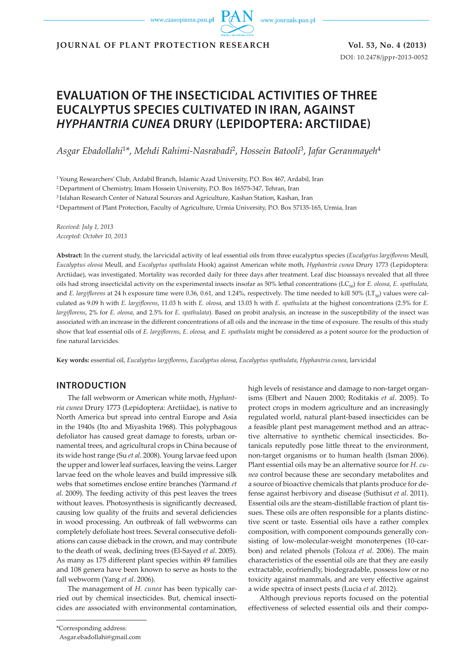www.czasopisma.pan.pl

www.journals.pan.pl

**JOURNAL OF PLANT PROTECTION RESEARCH Vol. 53, No. 4 (2013)**

DOI: 10.2478/jppr-2013-0052

# **EVALUATION OF THE INSECTICIDAL ACTIVITIES OF THREE EUCALYPTUS SPECIES CULTIVATED IN IRAN, AGAINST**  *HYPHANTRIA CUNEA* **DRURY (LEPIDOPTERA: ARCTIIDAE)**

*Asgar Ebadollahi*<sup>1</sup>*\**, *Mehdi Rahimi-Nasrabadi*2, *Hossein Batooli*3, *Jafar Geranmayeh*<sup>4</sup>

1 Young Researchers' Club, Ardabil Branch, Islamic Azad University, P.O. Box 467, Ardabil, Iran

2 Department of Chemistry, Imam Hossein University, P.O. Box 16575-347, Tehran, Iran

3 Isfahan Research Center of Natural Sources and Agriculture, Kashan Station, Kashan, Iran

4 Department of Plant Protection, Faculty of Agriculture, Urmia University, P.O. Box 57135-165, Urmia, Iran

*Received: July 1, 2013 Accepted: October 10, 2013*

**Abstract:** In the current study, the larvicidal activity of leaf essential oils from three eucalyptus species (*Eucalyptus largiflorens* Meull, *Eucalyptus oleosa* Meull, and *Eucalyptus spathulata* Hook) against American white moth, *Hyphantria cunea* Drury 1773 (Lepidoptera: Arctiidae), was investigated. Mortality was recorded daily for three days after treatment. Leaf disc bioassays revealed that all three oils had strong insecticidal activity on the experimental insects insofar as 50% lethal concentrations (LC50) for *E. oleosa*, *E. spathulata,* and *E. largiflorens* at 24 h exposure time were 0.36, 0.61, and 1.24%, respectively. The time needed to kill 50% ( $LT_{50}$ ) values were calculated as 9.09 h with *E. largiflorens*, 11.03 h with *E. oleosa*, and 13.03 h with *E. spathulata* at the highest concentrations (2.5% for *E. largiflorens*, 2% for *E. oleosa*, and 2.5% for *E. spathulata*). Based on probit analysis, an increase in the susceptibility of the insect was associated with an increase in the different concentrations of all oils and the increase in the time of exposure. The results of this study show that leaf essential oils of *E. largiflorens*, *E. oleosa,* and *E. spathulata* might be considered as a potent source for the production of fine natural larvicides.

**Key words:** essential oil, *Eucalyptus largiflorens*, *Eucalyptus oleosa*, *Eucalyptus spathulata*, *Hyphantria cunea*, larvicidal

## **INTRODUCTION**

The fall webworm or American white moth, *Hyphantria cunea* Drury 1773 (Lepidoptera: Arctiidae), is native to North America but spread into central Europe and Asia in the 1940s (Ito and Miyashita 1968). This polyphagous defoliator has caused great damage to forests, urban ornamental trees, and agricultural crops in China because of its wide host range (Su *et al*. 2008). Young larvae feed upon the upper and lower leaf surfaces, leaving the veins. Larger larvae feed on the whole leaves and build impressive silk webs that sometimes enclose entire branches (Yarmand *et al*. 2009). The feeding activity of this pest leaves the trees without leaves. Photosynthesis is significantly decreased, causing low quality of the fruits and several deficiencies in wood processing. An outbreak of fall webworms can completely defoliate host trees. Several consecutive defoliations can cause dieback in the crown, and may contribute to the death of weak, declining trees (El-Sayed *et al*. 2005). As many as 175 different plant species within 49 families and 108 genera have been known to serve as hosts to the fall webworm (Yang *et al*. 2006).

The management of *H. cunea* has been typically carried out by chemical insecticides. But, chemical insecticides are associated with environmental contamination, high levels of resistance and damage to non-target organisms (Elbert and Nauen 2000; Roditakis *et al*. 2005). To protect crops in modern agriculture and an increasingly regulated world, natural plant-based insecticides can be a feasible plant pest management method and an attractive alternative to synthetic chemical insecticides. Botanicals reputedly pose little threat to the environment, non-target organisms or to human health (Isman 2006). Plant essential oils may be an alternative source for *H. cunea* control because these are secondary metabolites and a source of bioactive chemicals that plants produce for defense against herbivory and disease (Suthisut *et al*. 2011). Essential oils are the steam-distillable fraction of plant tissues. These oils are often responsible for a plants distinctive scent or taste. Essential oils have a rather complex composition, with component compounds generally consisting of low-molecular-weight monoterpenes (10-carbon) and related phenols (Toloza *et al*. 2006). The main characteristics of the essential oils are that they are easily extractable, ecofriendly, biodegradable, possess low or no toxicity against mammals, and are very effective against a wide spectra of insect pests (Lucia *et al*. 2012).

Although previous reports focused on the potential effectiveness of selected essential oils and their compo-

Asgar.ebadollahi@gmail.com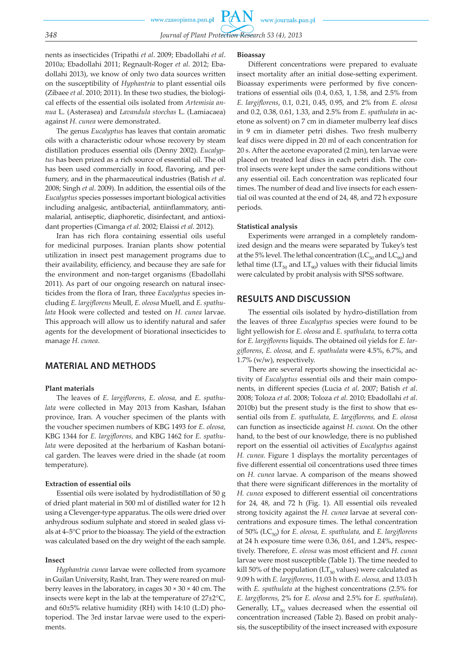nents as insecticides (Tripathi *et al*. 2009; Ebadollahi *et al*. 2010a; Ebadollahi 2011; Regnault-Roger *et al*. 2012; Ebadollahi 2013), we know of only two data sources written on the susceptibility of *Hyphantria* to plant essential oils (Zibaee *et al*. 2010; 2011). In these two studies, the biological effects of the essential oils isolated from *Artemisia annua* L. (Asterasea) and *Lavandula stoechas* L. (Lamiacaea) against *H. cunea* were demonstrated.

The genus *Eucalyptus* has leaves that contain aromatic oils with a characteristic odour whose recovery by steam distillation produces essential oils (Denny 2002). *Eucalyptus* has been prized as a rich source of essential oil. The oil has been used commercially in food, flavoring, and perfumery, and in the pharmaceutical industries (Batish *et al*. 2008; Singh *et al*. 2009). In addition, the essential oils of the *Eucalyptus* species possesses important biological activities including analgesic, antibacterial, antiinflammatory, antimalarial, antiseptic, diaphoretic, disinfectant, and antioxidant properties (Cimanga *et al*. 2002; Elaissi *et al*. 2012).

Iran has rich flora containing essential oils useful for medicinal purposes. Iranian plants show potential utilization in insect pest management programs due to their availability, efficiency, and because they are safe for the environment and non-target organisms (Ebadollahi 2011). As part of our ongoing research on natural insecticides from the flora of Iran, three *Eucalyptus* species including *E. largiflorens* Meull, *E. oleosa* Muell, and *E. spathulata* Hook were collected and tested on *H. cunea* larvae. This approach will allow us to identify natural and safer agents for the development of biorational insecticides to manage *H. cunea*.

## **MATERIAL AND METHODS**

### **Plant materials**

The leaves of *E*. *largiflorens*, *E*. *oleosa,* and *E*. *spathulata* were collected in May 2013 from Kashan, Isfahan province, Iran. A voucher specimen of the plants with the voucher specimen numbers of KBG 1493 for *E. oleosa*, KBG 1344 for *E. largiflorens,* and KBG 1462 for *E. spathulata* were deposited at the herbarium of Kashan botanical garden. The leaves were dried in the shade (at room temperature).

#### **Extraction of essential oils**

Essential oils were isolated by hydrodistillation of 50 g of dried plant material in 500 ml of distilled water for 12 h using a Clevenger-type apparatus. The oils were dried over anhydrous sodium sulphate and stored in sealed glass vials at 4–5°C prior to the bioassay. The yield of the extraction was calculated based on the dry weight of the each sample.

## **Insect**

*Hyphantria cunea* larvae were collected from sycamore in Guilan University, Rasht, Iran. They were reared on mulberry leaves in the laboratory, in cages  $30 \times 30 \times 40$  cm. The insects were kept in the lab at the temperature of 27±2°C, and 60±5% relative humidity (RH) with 14:10 (L:D) photoperiod. The 3rd instar larvae were used to the experiments.

#### **Bioassay**

Different concentrations were prepared to evaluate insect mortality after an initial dose-setting experiment. Bioassay experiments were performed by five concentrations of essential oils (0.4, 0.63, 1, 1.58, and 2.5% from *E. largiflorens*, 0.1, 0.21, 0.45, 0.95, and 2% from *E. oleosa* and 0.2, 0.38, 0.61, 1.33, and 2.5% from *E. spathulata* in acetone as solvent) on 7 cm in diameter mulberry leaf discs in 9 cm in diameter petri dishes. Two fresh mulberry leaf discs were dipped in 20 ml of each concentration for 20 s. After the acetone evaporated (2 min), ten larvae were placed on treated leaf discs in each petri dish. The control insects were kept under the same conditions without any essential oil. Each concentration was replicated four times. The number of dead and live insects for each essential oil was counted at the end of 24, 48, and 72 h exposure periods.

#### **Statistical analysis**

Experiments were arranged in a completely randomized design and the means were separated by Tukey's test at the 5% level. The lethal concentration ( $LC_{50}$  and  $LC_{90}$ ) and lethal time ( $LT_{50}$  and  $LT_{90}$ ) values with their fiducial limits were calculated by probit analysis with SPSS software.

# **RESULTS AND DISCUSSION**

The essential oils isolated by hydro-distillation from the leaves of three *Eucalyptus* species were found to be light yellowish for *E. oleosa* and *E. spathulata,* to terra cotta for *E. largiflorens* liquids. The obtained oil yields for *E. largiflorens*, *E. oleosa,* and *E. spathulata* were 4.5%, 6.7%, and 1.7% (w/w), respectively.

There are several reports showing the insecticidal activity of *Eucalyptus* essential oils and their main components, in different species (Lucia *et al*. 2007; Batish *et al*. 2008; Toloza *et al*. 2008; Toloza *et al*. 2010; Ebadollahi *et al*. 2010b) but the present study is the first to show that essential oils from *E. spathulata*, *E. largiflorens,* and *E. oleosa* can function as insecticide against *H*. *cunea*. On the other hand, to the best of our knowledge, there is no published report on the essential oil activities of *Eucalyptus* against *H. cunea*. Figure 1 displays the mortality percentages of five different essential oil concentrations used three times on *H. cunea* larvae. A comparison of the means showed that there were significant differences in the mortality of *H. cunea* exposed to different essential oil concentrations for 24, 48, and 72 h (Fig. 1). All essential oils revealed strong toxicity against the *H. cunea* larvae at several concentrations and exposure times. The lethal concentration of 50% (LC50) for *E. oleosa*, *E. spathulata,* and *E. largiflorens* at 24 h exposure time were 0.36, 0.61, and 1.24%, respectively. Therefore, *E. oleosa* was most efficient and *H. cunea* larvae were most susceptible (Table 1). The time needed to kill 50% of the population ( $LT_{50}$  values) were calculated as 9.09 h with *E. largiflorens*, 11.03 h with *E. oleosa,* and 13.03 h with *E. spathulata* at the highest concentrations (2.5% for *E. largiflorens*, 2% for *E. oleosa* and 2.5% for *E. spathulata*). Generally,  $LT_{50}$  values decreased when the essential oil concentration increased (Table 2). Based on probit analysis, the susceptibility of the insect increased with exposure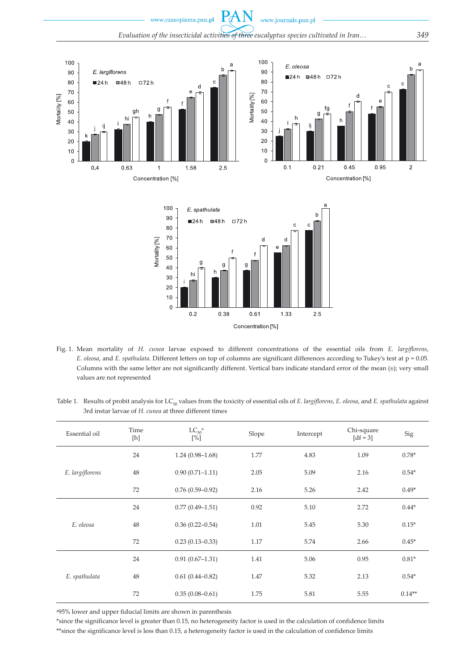

- Fig. 1. Mean mortality of *H. cunea* larvae exposed to different concentrations of the essential oils from *E. largiflorens*, *E. oleosa*, and *E. spathulata*. Different letters on top of columns are significant differences according to Tukey's test at p = 0.05. Columns with the same letter are not significantly different. Vertical bars indicate standard error of the mean (±); very small values are not represented
- Table 1. Results of probit analysis for LC<sub>50</sub> values from the toxicity of essential oils of *E. largiflorens*, *E. oleosa*, and *E. spathulata* against 3rd instar larvae of *H. cunea* at three different times

| Essential oil   | Time<br>[h] | $LC_{50}$ <sup>a</sup><br>$[\%]$ | Slope | Intercept | Chi-square<br>$\lceil df = 3 \rceil$ | Sig      |
|-----------------|-------------|----------------------------------|-------|-----------|--------------------------------------|----------|
| E. largiflorens | 24          | $1.24(0.98 - 1.68)$              | 1.77  | 4.83      | 1.09                                 | $0.78*$  |
|                 | 48          | $0.90(0.71 - 1.11)$              | 2.05  | 5.09      | 2.16                                 | $0.54*$  |
|                 | 72          | $0.76(0.59-0.92)$                | 2.16  | 5.26      | 2.42                                 | $0.49*$  |
| E. oleosa       | 24          | $0.77(0.49 - 1.51)$              | 0.92  | 5.10      | 2.72                                 | $0.44*$  |
|                 | 48          | $0.36(0.22 - 0.54)$              | 1.01  | 5.45      | 5.30                                 | $0.15*$  |
|                 | 72          | $0.23(0.13 - 0.33)$              | 1.17  | 5.74      | 2.66                                 | $0.45*$  |
| E. spathulata   | 24          | $0.91(0.67-1.31)$                | 1.41  | 5.06      | 0.95                                 | $0.81*$  |
|                 | 48          | $0.61(0.44 - 0.82)$              | 1.47  | 5.32      | 2.13                                 | $0.54*$  |
|                 | 72          | $0.35(0.08 - 0.61)$              | 1.75  | 5.81      | 5.55                                 | $0.14**$ |

a95% lower and upper fiducial limits are shown in parenthesis

\*since the significance level is greater than 0.15, no heterogeneity factor is used in the calculation of confidence limits

\*\*since the significance level is less than 0.15, a heterogeneity factor is used in the calculation of confidence limits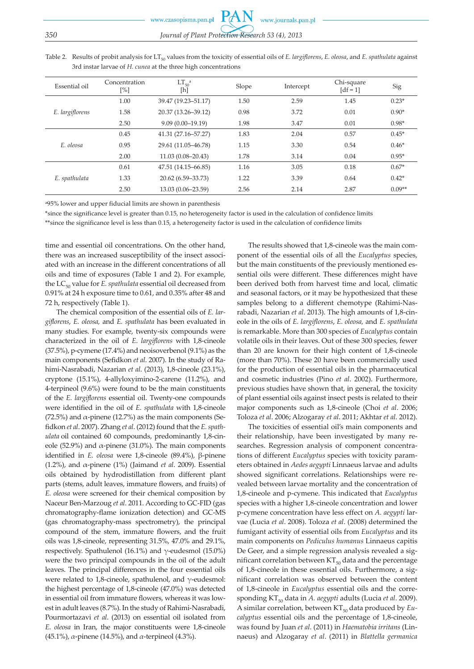PA www.czasopisma.pan.pl www.journals.pan.pl *350 Journal of Plant Protection Research 53 (4), 2013*

| Essential oil   | Concentration<br>$[\%]$ | $LT_{50}$ <sup>a</sup><br>[h] | Slope | Intercept | Chi-square<br>$\lceil df = 1 \rceil$ | Sig      |
|-----------------|-------------------------|-------------------------------|-------|-----------|--------------------------------------|----------|
| E. largiflorens | 1.00                    | 39.47 (19.23-51.17)           | 1.50  | 2.59      | 1.45                                 | $0.23*$  |
|                 | 1.58                    | 20.37 (13.26-39.12)           | 0.98  | 3.72      | 0.01                                 | $0.90*$  |
|                 | 2.50                    | $9.09(0.00-19.19)$            | 1.98  | 3.47      | 0.01                                 | $0.98*$  |
| E. oleosa       | 0.45                    | 41.31 (27.16-57.27)           | 1.83  | 2.04      | 0.57                                 | $0.45*$  |
|                 | 0.95                    | 29.61 (11.05-46.78)           | 1.15  | 3.30      | 0.54                                 | $0.46*$  |
|                 | 2.00                    | $11.03(0.08 - 20.43)$         | 1.78  | 3.14      | 0.04                                 | $0.95*$  |
| E. spathulata   | 0.61                    | 47.51 (14.15-66.85)           | 1.16  | 3.05      | 0.18                                 | $0.67*$  |
|                 | 1.33                    | 20.62 (6.59-33.73)            | 1.22  | 3.39      | 0.64                                 | $0.42*$  |
|                 | 2.50                    | 13.03 (0.06-23.59)            | 2.56  | 2.14      | 2.87                                 | $0.09**$ |

Table 2. Results of probit analysis for LT<sub>50</sub> values from the toxicity of essential oils of *E. largiflorens*, *E. oleosa*, and *E. spathulata* against 3rd instar larvae of *H. cunea* at the three high concentrations

a95% lower and upper fiducial limits are shown in parenthesis

\*since the significance level is greater than 0.15, no heterogeneity factor is used in the calculation of confidence limits \*\*since the significance level is less than 0.15, a heterogeneity factor is used in the calculation of confidence limits

time and essential oil concentrations. On the other hand, there was an increased susceptibility of the insect associated with an increase in the different concentrations of all oils and time of exposures (Table 1 and 2). For example, the LC<sub>50</sub> value for *E. spathulata* essential oil decreased from 0.91% at 24 h exposure time to 0.61, and 0.35% after 48 and 72 h, respectively (Table 1).

The chemical composition of the essential oils of *E. largiflorens*, *E. oleosa,* and *E. spathulata* has been evaluated in many studies. For example, twenty-six compounds were characterized in the oil of *E*. *largiflorens* with 1,8-cineole (37.5%), p-cymene (17.4%) and neoisoverbenol (9.1%) as the main components (Sefidkon *et al*. 2007). In the study of Rahimi-Nasrabadi, Nazarian *et al*. (2013), 1,8-cineole (23.1%), cryptone (15.1%), 4-allyloxyimino-2-carene (11.2%), and 4-terpineol (9.6%) were found to be the main constituents of the *E. largiflorens* essential oil. Twenty-one compounds were identified in the oil of *E. spathulata* with 1,8-cineole (72.5%) and  $\alpha$ -pinene (12.7%) as the main components (Sefidkon *et al*. 2007). Zhang *et al*. (2012) found that the *E. spathulata* oil contained 60 compounds, predominantly 1,8-cineole (52.9%) and α-pinene (31.0%). The main components identified in *E. oleosa* were 1,8-cineole (89.4%), β-pinene (1.2%), and α-pinene (1%) (Jaimand *et al*. 2009). Essential oils obtained by hydrodistillation from different plant parts (stems, adult leaves, immature flowers, and fruits) of *E. oleosa* were screened for their chemical composition by Naceur Ben-Marzoug *et al*. 2011. According to GC-FID (gas chromatography-flame ionization detection) and GC-MS (gas chromatography-mass spectrometry), the principal compound of the stem, immature flowers, and the fruit oils was 1,8-cineole, representing 31.5%, 47.0% and 29.1%, respectively. Spathulenol (16.1%) and  $\gamma$ -eudesmol (15.0%) were the two principal compounds in the oil of the adult leaves. The principal differences in the four essential oils were related to 1,8-cineole, spathulenol, and γ-eudesmol: the highest percentage of 1,8-cineole (47.0%) was detected in essential oil from immature flowers, whereas it was lowest in adult leaves (8.7%). In the study of Rahimi-Nasrabadi, Pourmortazavi *et al*. (2013) on essential oil isolated from *E. oleosa* in Iran, the major constituents were 1,8-cineole (45.1%), *α*-pinene (14.5%), and *α*-terpineol (4.3%).

The results showed that 1,8-cineole was the main component of the essential oils of all the *Eucalyptus* species, but the main constituents of the previously mentioned essential oils were different. These differences might have been derived both from harvest time and local, climatic and seasonal factors, or it may be hypothesized that these samples belong to a different chemotype (Rahimi-Nasrabadi, Nazarian *et al*. 2013). The high amounts of 1,8-cineole in the oils of *E. largiflorens*, *E. oleosa,* and *E. spathulata*  is remarkable. More than 300 species of *Eucalyptus* contain volatile oils in their leaves. Out of these 300 species, fewer than 20 are known for their high content of 1,8-cineole (more than 70%). These 20 have been commercially used for the production of essential oils in the pharmaceutical and cosmetic industries (Pino *et al*. 2002). Furthermore, previous studies have shown that, in general, the toxicity of plant essential oils against insect pests is related to their major components such as 1,8-cineole (Choi *et al*. 2006; Toloza *et al*. 2006; Alzogaray *et al*. 2011; Akhtar *et al*. 2012).

The toxicities of essential oil's main components and their relationship, have been investigated by many researches. Regression analysis of component concentrations of different *Eucalyptus* species with toxicity parameters obtained in *Aedes aegypti* Linnaeus larvae and adults showed significant correlations. Relationships were revealed between larvae mortality and the concentration of 1,8-cineole and p-cymene. This indicated that *Eucalyptus* species with a higher 1,8-cineole concentration and lower p-cymene concentration have less effect on *A. aegypti* larvae (Lucia *et al*. 2008). Toloza *et al*. (2008) determined the fumigant activity of essential oils from *Eucalyptus* and its main components on *Pediculus humanus* Linnaeus capitis De Geer, and a simple regression analysis revealed a significant correlation between  $KT_{50}$  data and the percentage of 1,8-cineole in these essential oils. Furthermore, a significant correlation was observed between the content of 1,8-cineole in *Eucalyptus* essential oils and the corresponding KT<sub>50</sub> data in *A. aegypti* adults (Lucia *et al.* 2009). A similar correlation, between KT<sub>50</sub> data produced by *Eucalyptus* essential oils and the percentage of 1,8-cineole, was found by Juan *et al*. (2011) in *Haematobia irritans* (Linnaeus) and Alzogaray *et al*. (2011) in *Blattella germanica*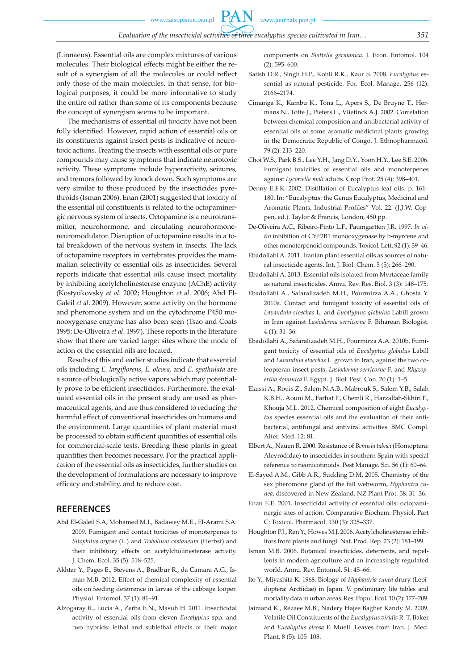**PAN** 

(Linnaeus). Essential oils are complex mixtures of various molecules. Their biological effects might be either the result of a synergism of all the molecules or could reflect only those of the main molecules. In that sense, for biological purposes, it could be more informative to study the entire oil rather than some of its components because the concept of synergism seems to be important.

The mechanisms of essential oil toxicity have not been fully identified. However, rapid action of essential oils or its constituents against insect pests is indicative of neurotoxic actions. Treating the insects with essential oils or pure compounds may cause symptoms that indicate neurotoxic activity. These symptoms include hyperactivity, seizures, and tremors followed by knock down. Such symptoms are very similar to those produced by the insecticides pyrethroids (Isman 2006). Enan (2001) suggested that toxicity of the essential oil constituents is related to the octopaminergic nervous system of insects. Octopamine is a neurotransmitter, neurohormone, and circulating neurohormoneneuromodulator. Disruption of octopamine results in a total breakdown of the nervous system in insects. The lack of octopamine receptors in vertebrates provides the mammalian selectivity of essential oils as insecticides. Several reports indicate that essential oils cause insect mortality by inhibiting acetylcholinesterase enzyme (AChE) activity (Kostyukovsky *et al*. 2002; Houghton *et al*. 2006; Abd El-Galeil *et al*. 2009). However, some activity on the hormone and pheromone system and on the cytochrome P450 monooxygenase enzyme has also been seen (Tsao and Coats 1995; De-Oliveira *et al*. 1997). These reports in the literature show that there are varied target sites where the mode of action of the essential oils are located.

Results of this and earlier studies indicate that essential oils including *E. largiflorens*, *E. oleosa,* and *E. spathulata* are a source of biologically active vapors which may potentially prove to be efficient insecticides. Furthermore, the evaluated essential oils in the present study are used as pharmaceutical agents, and are thus considered to reducing the harmful effect of conventional insecticides on humans and the environment. Large quantities of plant material must be processed to obtain sufficient quantities of essential oils for commercial-scale tests. Breeding these plants in great quantities then becomes necessary. For the practical application of the essential oils as insecticides, further studies on the development of formulations are necessary to improve efficacy and stability, and to reduce cost.

# **REFERENCES**

- Abd El-Galeil S.A, Mohamed M.I., Badawey M.E., El-Arami S.A. 2009. Fumigant and contact toxicities of monoterpenes to *Sitophilus oryzae* (L.) and *Tribolium castaneum* (Herbst) and their inhibitory effects on acetylcholinesterase activity. J. Chem. Ecol. 35 (5): 518–525.
- Akhtar Y., Pages E., Stevens A., Bradbur R., da Camara A.G., Isman M.B. 2012. Effect of chemical complexity of essential oils on feeding deterrence in larvae of the cabbage looper. Physiol. Entomol. 37 (1): 81–91.
- Alzogaray R., Lucia A., Zerba E.N., Masuh H. 2011. Insecticidal activity of essential oils from eleven *Eucalyptus* spp. and two hybrids: lethal and sublethal effects of their major

components on *Blattella germanica*. J. Econ. Entomol. 104 (2): 595–600.

- Batish D.R., Singh H.P., Kohli R.K., Kaur S. 2008. *Eucalyptus* essential as natural pesticide. For. Ecol. Manage. 256 (12): 2166–2174.
- Cimanga K., Kambu K., Tona L., Apers S., De Bruyne T., Hermans N., Totte J., Pieters L., Vlietinck A.J. 2002. Correlation between chemical composition and antibacterial activity of essential oils of some aromatic medicinal plants growing in the Democratic Republic of Congo. J. Ethnopharmacol. 79 (2): 213–220.
- Choi W.S., Park B.S., Lee Y.H., Jang D.Y., Yoon H.Y., Lee S.E. 2006. Fumigant toxicities of essential oils and monoterpenes against *Lycoriella mali* adults. Crop Prot. 25 (4): 398–401.
- Denny E.F.K. 2002. Distillation of Eucalyptus leaf oils. p. 161– 180. In: "Eucalyptus: the Genus Eucalyptus, Medicinal and Aromatic Plants, Industrial Profiles" Vol. 22. (J.J.W. Coppen, ed.). Taylor & Francis, London, 450 pp.
- De-Oliveira A.C., Ribeiro-Pinto L.F., Paumgartten J.R. 1997. *In vitro* inhibition of CYP2B1 monooxygenase by b-myrcene and other monoterpenoid compounds. Toxicol. Lett. 92 (1): 39–46.
- Ebadollahi A. 2011. Iranian plant essential oils as sources of natural insecticide agents. Int. J. Biol. Chem. 5 (5): 266–290.
- Ebadollahi A. 2013. Essential oils isolated from Myrtaceae family as natural insecticides. Annu. Rev. Res. Biol. 3 (3): 148–175.
- Ebadollahi A., Safaralizadeh M.H., Pourmirza A.A., Ghosta Y. 2010a. Contact and fumigant toxicity of essential oils of *Lavandula stoechas* L. and *Eucalyptus globulus* Labill grown in Iran against *Lasioderma serricorne* F. Biharean Biologist. 4 (1): 31–36.
- Ebadollahi A., Safaralizadeh M.H., Pourmirza A.A. 2010b. Fumigant toxicity of essential oils of *Eucalyptus globulus* Labill and *Lavandula stoechas* L. grown in Iran, against the two coleopteran insect pests; *Lasioderma serricorne* F. and *Rhyzopertha dominica* F. Egypt. J. Biol. Pest. Con. 20 (1): 1–5.
- Elaissi A., Rouis Z., Salem N.A.B., Mabrouk S., Salem Y.B., Salah K.B.H., Aouni M., Farhat F., Chemli R., Harzallah-Skhiri F., Khouja M.L. 2012. Chemical composition of eight *Eucalyptus* species essential oils and the evaluation of their antibacterial, antifungal and antiviral activities. BMC Compl. Alter. Med. 12: 81.
- Elbert A., Nauen R. 2000. Resistance of *Bemisia tabaci* (Homoptera: Aleyrodidae) to insecticides in southern Spain with special reference to neonicotinoids. Pest Manage. Sci. 56 (1): 60–64.
- El-Sayed A.M., Gibb A.R., Suckling D.M. 2005. Chemistry of the sex pheromone gland of the fall webworm, *Hyphantra cunea*, discovered in New Zealand. NZ Plant Prot. 58: 31–36.
- Enan E.E. 2001. Insecticidal activity of essential oils: octopaminergic sites of action. Comparative Biochem. Physiol. Part C: Toxicol. Pharmacol. 130 (3): 325–337.
- Houghton P.J., Ren Y., Howes M.J. 2006. Acetylcholinesterase inhibitors from plants and fungi. Nat. Prod. Rep. 23 (2): 181–199.
- Isman M.B. 2006. Botanical insecticides, deterrents, and repellents in modern agriculture and an increasingly regulated world. Annu. Rev. Entomol. 51: 45–66.
- Ito Y., Miyashita K. 1968. Biology of *Hyphantria cunea* drury (Lepidoptera: Arctiidae) in Japan. V. preliminary life tables and mortality data in urban areas. Res. Popul. Ecol. 10 (2): 177–209.
- Jaimand K., Rezaee M.B., Nadery Hajee Bagher Kandy M. 2009. Volatile Oil Constituents of the *Eucalyptus viridis* R. T. Baker and *Eucalyptus oleosa* F. Muell. Leaves from Iran. J. Med. Plant. 8 (5): 105–108.